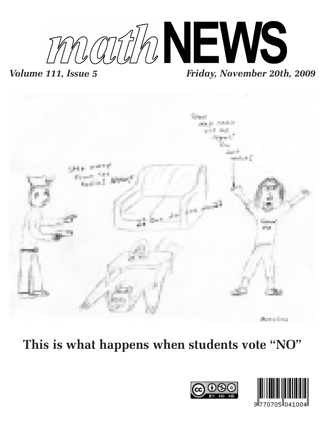

# *Volume 111, Issue 5 Friday, November 20th, 2009*



**This is what happens when students vote "NO"**



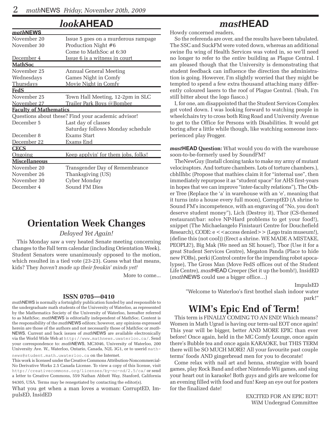### *look***AHEAD**

| mathNEWS                      |                                                    |  |  |  |  |  |
|-------------------------------|----------------------------------------------------|--|--|--|--|--|
| November 20                   | Issue 5 goes on a murderous rampage                |  |  |  |  |  |
| November 30                   | Production Night #6                                |  |  |  |  |  |
|                               | Come to MathSoc at 6:30                            |  |  |  |  |  |
| December 4                    | Issue 6 is a witness in court                      |  |  |  |  |  |
| <b>MathSoc</b>                |                                                    |  |  |  |  |  |
| November 25                   | Annual General Meeting                             |  |  |  |  |  |
| Wednesdays                    | Games Night in Comfy                               |  |  |  |  |  |
| Thursdays                     | Movie Night in Comfy                               |  |  |  |  |  |
| <u>FedS</u>                   |                                                    |  |  |  |  |  |
| November 25                   | Town Hall Meeting, 12-2pm in SLC                   |  |  |  |  |  |
| November 27                   | Trailer Park Boys @Bomber                          |  |  |  |  |  |
| <b>Faculty of Mathematics</b> |                                                    |  |  |  |  |  |
|                               | Questions about these? Find your academic advisor! |  |  |  |  |  |
| December 5                    | Last day of classes                                |  |  |  |  |  |
|                               | Saturday follows Monday schedule                   |  |  |  |  |  |
| December 8                    | <b>Exams Start</b>                                 |  |  |  |  |  |
| December 22                   | Exams End                                          |  |  |  |  |  |
| <b>CECS</b>                   |                                                    |  |  |  |  |  |
| Ongoing                       | Keep applyin' for them jobs, folks!                |  |  |  |  |  |
| <b>Miscellaneous</b>          |                                                    |  |  |  |  |  |
| November 20                   | Transgender Day of Remembrance                     |  |  |  |  |  |
| November 26                   | Thanksgiving (US)                                  |  |  |  |  |  |
| November 30                   | Cyber Monday                                       |  |  |  |  |  |
| December 4                    | Sound FM Dies                                      |  |  |  |  |  |

### **Orientation Week Changes**

#### *Delayed Yet Again!*

This Monday saw a very heated Senate meeting concerning changes to the Fall term calendar (including Orientation Week). Student Senators were unanimously opposed to the motion, which resulted in a tied vote (23-23). Guess what that means, kids? They *haven't made up their freakin' minds yet!*

More to come...

#### **ISSN 0705—0410**

*math*NEWS is normally a fortnightly publication funded by and responsible to the undergraduate math students of the University of Waterloo, as represented by the Mathematics Society of the University of Waterloo, hereafter referred to as MathSoc. *math*NEWS is editorially independent of MathSoc. Content is the responsibility of the *math*NEWS editors; however, any opinions expressed herein are those of the authors and not necessarily those of MathSoc or *math-*NEWS. Current and back issues of *math*NEWS are available electronically via the World Wide Web at http://www.mathnews.uwaterloo.ca/. Send your correspondence to: *math*NEWS, MC3046, University of Waterloo, 200 University Ave. W., Waterloo, Ontario, Canada, N2L 3G1, or to userid mathnews@student.math.uwaterloo.ca on the Internet.

This work is licensed under the Creative Commons Attribution-Noncommercial-No Derivative Works 2.5 Canada License. To view a copy of this license, visit http://creativecommons.org/licenses/by-nc-nd/2.5/ca/ or send a letter to Creative Commons, 559 Nathan Abbott Way, Stanford, California 94305, USA. Terms may be renegotiated by contacting the editor(s).

What you get when a man loves a woman: CorruptED, ImpulsED, InsidED

### *mast***HEAD**

Howdy concerned readers,

So the referenda are over, and the results have been tabulated. The SSC and SuckFM were voted down, whereas an additional swine flu wing of Health Services was voted in, so we'll need no longer to refer to the *entire* building as Plague Central. I am pleased though that the University is demonstrating that student feedback can influence the direction the administration is going. However, I'm slightly worried that they might be tempted to spend a few extra thousand attaching many differently coloured lasers to the roof of Plague Central. (Yeah, I'm still bitter about the logo fiasco.)

I, for one, am disappointed that the Student Services Complex got voted down. I was looking forward to watching people in wheelchairs try to cross both Ring Road and University Avenue to get to the Office for Persons with Disabilities. It would get boring after a little while though, like watching someone inexperienced play Frogger.

*mast***HEAD Question:** What would you do with the warehouse soon-to-be-formerly used by SoundFM?

TheNewGuy (Install cloning tanks to make my army of mutant velociraptors. And torture chambers. Lots of torture chambers.), cbhllhbc (Propose that mathies claim it for "internal use", then immediately repurpose it as "student space" for AHS first-years in hopes that we can improve "inter-faculty relations"), The Other Tree (Replace the 'a' in warehouse with an 'e', meaning that it turns into a house every full moon), CorruptED (A shrine to Sound FM's incompetence, with an engraving of "No, you don't deserve student money"), Lich (Destroy it), Thor (CS-themed restaurant/bar: solve NP-Hard problems to get your food!), snippet (The Michaelangelo Finistauri Centre for Douchefield Research), CODE:  $e \leq$  access denied  $\geq$  (Lego train museum!), (define this (not cool)) (Erect a shrine. WE MADE A MISTAKE, PEOPLE!), Big Mak (We need an SE house!), Tbor (Use it for a great Student Services Centre), Megaton Panda (Place to hide new FOBs), perki (Control centre for the impending robot apocalypse), The Gross Man (Move FedS offices out of the Student Life Centre), *mast*HEAD Creeper (Set it up the bomb!), InsidED (*math*NEWS could use a bigger office…)

> ImpulsED "Welcome to Waterloo's first brothel slash indoor water park!"

### **WIM's Epic End of Term!**

This term is FINALLY COMING TO AN END! Which means? Women in Math Ugrad is having our term-ual EOT once again! This year will be bigger, better AND MORE EPIC than ever before! Once again, held in the MC Comfy Lounge, once again there's Bubble tea and once again KARAOKE, but THIS TERM there will be SO MUCH MORE! All your favourite past couple terms' foods AND gingerbread men for you to decorate!

Come relax with nail art and henna, strategize with board games, play Rock Band and other Nintendo Wii games, and sing your heart out in karaoke! Both guys and girls are welcome for an evening filled with food and fun! Keep an eye out for posters for the finalized date!

> EXCITED FOR AN EPIC EOT! WiM Undergrad Committee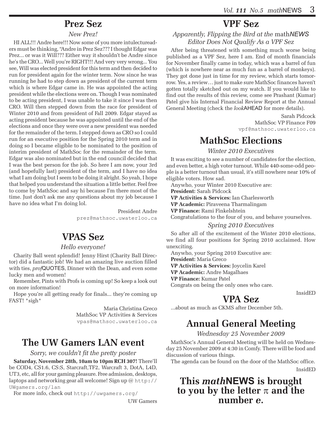### **Prez Sez**

#### *New Prez!*

HI ALL!!! Andre here!!! Now some of you more intulectureaders must be thinking, "Andre in Prez Sez??? I thought Edgar was Prez... or was it Will??? Either way it shouldn't be Andre since he's the CRO... Well you're RIGHT!!! And very very wrong... You see, Will was elected president for this term and then decided to run for president again for the winter term. Now since he was running he had to step down as president of the current term which is where Edgar came in. He was appointed the acting president while the elections were on. Though I was nominated to be acting president, I was unable to take it since I was then CRO. Will then stepped down from the race for president of Winter 2010 and from president of Fall 2009. Edgar stayed as acting president because he was appointed until the end of the elections and once they were over a new president was needed for the remainder of the term. I stepped down as CRO so I could run for an executive position for the Spring 2010 term and in doing so I became eligible to be nominated to the position of interim president of MathSoc for the remainder of the term. Edgar was also nominated but in the end council decided that I was the best person for the job. So here I am now, your 3rd (and hopefully last) president of the term, and I have no idea what I am doing but I seem to be doing it alright. So yeah, I hope that helped you understand the situation a little better. Feel free to come by MathSoc and say hi because I'm there most of the time. Just don't ask me any questions about my job because I have no idea what I'm doing lol.

> President Andre prez@mathsoc.uwaterloo.ca

### **VPAS Sez**

#### *Hello everyone!*

Charity Ball went splendid! Jenny Hirst (Charity Ball Director) did a fantastic job! We had an amazing live auction filled with ties, *prof*QUOTES, Dinner with the Dean, and even some lucky men and women!

Remember, Pints with Profs is coming up! So keep a look out on more information!

Hope you're all getting ready for finals... they're coming up FAST! \*sigh\*

> Maria Christina Greco MathSoc VP Activities & Services vpas@mathsoc.uwaterloo.ca

### **The UW Gamers LAN event**

#### *Sorry, we couldn't fit the pretty poster*

**Saturday, November 28th, 10am to 10pm RCH 307!** There'll be COD4, CS1.6, CS:S, Starcraft,TF2, Warcraft 3, DotA, L4D, UT3, etc, all for your gaming pleasure. Free admission, desktops, laptops and networking gear all welcome! Sign up @ http:// UWgamers.org/lan

For more info, check out http://uwgamers.org/

UW Gamers

# **VPF Sez**

#### *Apparently, Flipping the Bird at the* math*NEWS Editor Does Not Qualify As a VPF Sez*

After being threatened with something much worse being published as a VPF Sez, here I am. End of month financials for November finally came in today, which was a barrel of fun (which is nowhere near as much fun as a barrel of monkeys). They got done just in time for my review, which starts tomorrow. Yes, a review… just to make sure MathSoc finances haven't gotten totally sketched out on my watch. If you would like to find out the results of this review, come see Prashant (Kumar) Patel give his Internal Financial Review Report at the Annual General Meeting (check the *look*AHEAD for more details).

> Sarah Pidcock MathSoc VP Finance F09 vpf@mathsoc.uwaterloo.ca

### **MathSoc Elections**

*Winter 2010 Executives*

It was exciting to see a number of candidates for the election, and even better, a high voter turnout. While 440-some-odd people is a better turnout than usual, it's still nowhere near 10% of eligible voters. How sad.

Anywho, your Winter 2010 Executive are: **President:** Sarah Pidcock

**VP Activities & Services:** Ian Charlesworth

**VP Academic:** Piraveena Tharmalingam

**VP Finance:** Rami Finkelshtein

Congratulations to the four of you, and behave yourselves.

#### *Spring 2010 Executives*

So after all of the excitement of the Winter 2010 elections, we find all four positions for Spring 2010 acclaimed. How unexciting.

Anywho, your Spring 2010 Executive are:

**President:** Maria Greco

**VP Activities & Services:** Joycelin Karel

**VP Academic:** Andre Magalhaes

**VP Finance:** Kumar Patel

Congrats on being the only ones who care.

InsidED

#### **VPA Sez**

...about as much as CKMS after December 5th.

# **Annual General Meeting**

#### *Wednesday 25 November 2009*

MathSoc's Annual General Meeting will be held on Wednesday 25 November 2009 at 4:30 in Comfy. There will be food and discussion of various things.

The agenda can be found on the door of the MathSoc office. InsidED

# **This** *math***NEWS is brought to you by the letter** <sup>π</sup> **and the number** *e***.**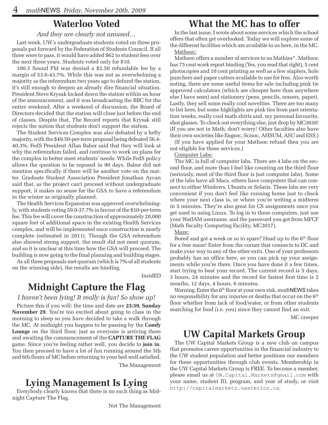#### **Waterloo Voted**

#### *And they are clearly not amused…*

Last week, UW's undergraduate students voted on three proposals put forward by the Federation of Students Council. If all three were to pass, it would have added \$62 to student fees over the next three years. Students voted only for \$10.

100.3 Sound FM was denied a \$2.50 refundable fee by a margin of 53.6-43.7%. While this was not as overwhelming a majority as the referendum two years ago to defund the station, it's still enough to deepen an already dire financial situation. President Steve Krysak locked down the station within an hour of the announcement, and it was broadcasting the BBC for the entire weekend. After a weekend of discussion, the Board of Directors decided that the station will close just before the end of classes. Despite that, The Record reports that Krysak still rejects the notion that students don't support the station.

The Student Services Complex was also defeated by a hefty majority, with the \$49.50-per-term proposal being defeated 56.4- 40.3%. FedS President Allan Babor said that they will look at why the referendum failed, and continue to work on plans for the complex to better meet students' needs. While FedS policy allows the question to be reposed in 90 days, Babor did not mention specifically if there will be another vote on the matter. Graduate Student Association President Jonathan Aycan said that, as the project can't proceed without undergraduate support, it makes no sense for the GSA to have a referendum in the winter as originally planned.

The Health Services Expansion was approved overwhelmingly, with students voting 59.0-37.7% in favour of the \$10-per-term fee. This fee will cover the construction of approximately 20,000 square feet of additional space in the existing Health Services complex, and will be implemented once construction is nearly complete (estimated in 2011). Though the GSA referendum also showed strong support, the result did not meet quorum, and so it is unclear at this time how the GSA will proceed. The building is now going to the final planning and building stages.

As all three proposals met quorum (which is 7% of all students on the winning side), the results are binding.

InsidED

### **Midnight Capture the Flag**

#### *I haven't been lying! It really is fun! So show up!*

Picture this if you will: the time and date are **23:59, Sunday November 29**. You're too excited about going to class in the morning to sleep so you have decided to take a walk through the MC. At midnight you happen to be passing by the **Comfy Lounge** on the third floor, just as everyone is arriving there and awaiting the commencement of the **CAPTURE THE FLAG** game. Since you're feeling rather well, you decide to **join in**. You then proceed to have a lot of fun running around the 5th and 6th floors of MC before returning to your bed well satisfied.

The Management

Everybody clearly knows that there is no such thing as Midnight Capture The Flag.

### **What the MC has to offer**

In the last issue, I wrote about some services which the school offers that often get overlooked. Today we will explore some of the different facilities which are available to us here, in the MC. Mathsoc:

Mathsoc offers a number of services to us Mathies\*. Mathsoc has 75 cent work report binding (Yes, you read that right), 5 cent photocopies and 10 cent printing as well as a few staplers, hole punchers and paper cutters available to use for free. Also worth noting, there are some useful items for sale including pink tie approved calculators (which are cheaper here than anywhere else I have seen) and stationery (pens, pencils, erasers, paper). Lastly, they sell some really cool novelties. There are too many to list here, but some highlights are pink ties from past orientation weeks, really cool math shirts and, my personal favourite, shot glasses. To check out everything else, just drop by MC3038! (If you are not in Math, don't worry! Other faculties also have their own societies like Engsoc, Scisoc, AHSUM, ASU and ESS.)

(If you have applied for your Mathsoc refund then you are not eligible for these services.)

#### Computer Labs:

The MC is full of computer labs. There are 4 labs on the second floor, and more than I feel like counting on the third floor (seriously, most of the third floor is just computer labs). Some of the labs have all Macs, others have computers that can connect to either Windows, Ubuntu or Solaris. These labs are very convenient if you don't feel like running home just to check where your next class is, or where you're writing a midterm in 5 minutes. They're also great for CS assignments once you get used to using Linux. To log in to these computers, just use your WatIAM username, and the password you got from MFCF (Math Faculty Computing Facility, MC3017).

Maze:

Bored and got a week or so to spare? Head up to the 6<sup>th</sup> floor for a free maze! Enter from the corner that connects to DC and make your way to any of the other exits. One of your professors probably has an office here, so you can pick up your assignments while you're there. Once you have done it a few times, start trying to beat your record. The current record is 5 days, 3 hours, 24 minutes and the record for fastest first time is 2 months, 12 days, 4 hours, 6 minutes.

Warning: Enter the 6th floor at your own risk. *math*NEWS takes no responsibility for any injuries or deaths that occur on the  $6<sup>th</sup>$ floor whether from lack of food/water, or from other students searching for food (i.e. you) since they cannot find an exit.

MC creeper

### **UW Capital Markets Group**

The UW Capital Markets Group is a new club on campus that promotes career opportunities in the financial industry to the UW student population and better positions our members for these opportunities through club events. Membership in the UW Capital Markets Group is FREE. To become a member, please email us at UW.Capital.Markets@gmail.com with your name, student ID, program, and year of study, or visit **Lying Management Is Lying** your name, student ID, program, and year or not vector of  $\frac{1}{2}$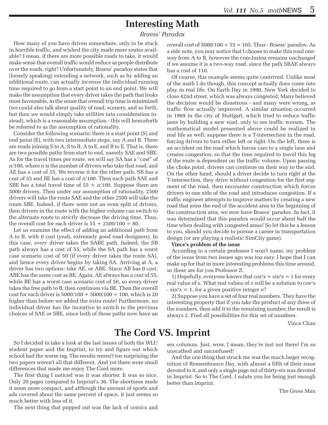### **Interesting Math**

#### *Braess' Paradox*

How many of you have driven somewhere, only to be stuck in horrible traffic, and wished the city made more routes available? I mean, if there are more possible roads to take, it would make sense that overall traffic would reduce as people distribute over the roads, right? Unfortunately, Braess' paradox states that (loosely speaking) extending a network, such as by adding an additional route, can actually *increase* the individual running time required to go from a start point to an end point. We will make the assumption that every driver takes the path that looks most favourable, in the sense that overall trip time is minimized (we could also talk about quality of road, scenery, and so forth, but then we would simply take utilities into consideration instead), which is a reasonable assumption - this will henceforth be referred to as the assumption of rationality.

Consider the following scenario: there is a start point (S) and end point (E), with two intermediate stops, say A and B. There are roads joining S to A, S to B, A to E, and B to E. That is, there are two possible paths from start to end, namely SAE and SBE. As for the travel times per route, we will say SA has a "cost" of *n*/100, where *n* is the number of drivers who take that road, and AE has a cost of 55. We reverse it for the other path, SB has a cost of 55 and BE has a cost of *n*/100. Then each path SAE and SBE has a total travel time of  $55 + n/100$ . Suppose there are 5000 drivers. Then under our assumption of rationality, 2500 drivers will take the route SAE and the other 2500 will take the route SBE. Indeed, if there were not an even split of drivers, then drivers in the route with the higher volume can switch to the alternate route to strictly decrease the driving time. Thus, the overall cost for each driver is  $55 + 2500/100 = 80$ .

Let us examine the effect of adding an additional path from A to B, with 0 cost (yeah, extremely good road designers). In this case, *every* driver takes the SABE path. Indeed, the SB path always has a cost of 55, while the SA path has a worst case scenario cost of 50 (if every driver takes the route SA), and hence every driver begins by taking SA. Arriving at A, a driver has two options: take AE, or ABE. Since AB has 0 cost, ABE has the same cost as BE. Again, AE always has a cost of 55, while BE has a worst case scenario cost of 50, so every driver takes the free path to B, then continues via BE. Then the overall cost for each driver is  $5000/100 + 5000/100 = 100$ , which is 20 higher than before we added the extra route! Furthermore, no individual driver has the incentive to switch to the previous choices of SAE or SBE, since both of these paths now have an

overall cost of  $5000/100 + 55 = 105$ . Thus - Braess' paradox. As a side note, you may notice that I choose to make this road oneway from A to B, however the conclusion remains unchanged if we assume it is a two-way road, since the path SBAE always has a cost of 110.

Of course, this example seems quite contrived. Unlike most of the math I do though, this concept actually does come into play in real life. On Earth Day in 1990, New York decided to close 42nd street, which was always congested. Many believed the decision would be disastrous - and many were wrong, as traffic flow actually improved. A similar situation occurred in 1969 in the city of Stuttgart, which tried to reduce traffic jams by building a new road, only to see traffic worsen. The mathematical model presented above could be realized in real life as well: suppose there is a T-intersection in the road, forcing drivers to turn either left or right. On the left, there is an accident on the road which forces cars to a single lane and creates congestion; so that the time required to travel this leg of the route is dependent on the traffic volume. Upon passing the choke point, drivers can continue on their way to the end. On the other hand, should a driver decide to turn right at the T-intersection, they drive without congestion for the first segment of the road, then encounter construction which forces drivers to one side of the road and introduces congestion. If a traffic engineer attempts to improve matters by creating a new road that joins the end of the accident area to the beginning of the construction area, we now have Braess' paradox. In fact, it was determined that this paradox would occur about half the time when dealing with congested areas! So let this be a lesson to you, should you decide to pursue a career in transportation design (or are playing a realistic SimCity game).

#### **Vince's problem of the issue**

According to a certain professor I won't name, my problem of the issue from two issues ago was too easy. I hope that I can make up for that in more interesting problems this time around, so these are for you Professor Z.

1) Hopefully, everyone knows that  $\cos^2 x + \sin^2 x = 1$  for every real value of *x*. What real values of *x* will be a solution to cos*nx* - sin*nx* = 1, for a given positive integer *n*?

2) Suppose you have a set of four real numbers. They have the interesting property that if you take the product of any three of the numbers, then add it to the remaining number, the result is always 2. Find all possibilities for this set of numbers.

Vince Chan

# **The Cord VS. Imprint**

So I decided to take a look at the last issues of both the WLU student paper and the Imprint, to try and figure out which school had the worse rag. The results weren't too surprising; the two papers weren't all that different. And yet there were small differences that made me enjoy The Cord more.

The first thing I noticed was it was shorter. It was so nice. Only 20 pages compared to Imprint's 36. The shortness made it seem more compact, and although the amount of sports and ads covered about the same percent of space, it just seems so much better with less of it.

The next thing that popped out was the lack of comics and

sex columns. Just, wow, I mean, they're just not there! I'm so unscathed and unconfused!

And the one thing that struck me was the much larger recognition of Remembrance Day, with almost a fifth of their issue devoted to it, and only a single page out of thirty-six was devoted in Imprint. So to The Cord, I salute you for being just enough better than Imprint.

The Gross Man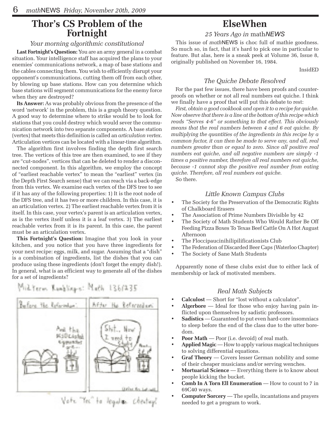#### **Thor's CS Problem of the Fortnight**

#### *Your morning algorithmic constitutional*

**Last Fortnight's Question:** You are an army general in a combat situation. Your intelligence staff has acquired the plans to your enemies' communications network, a map of base stations and the cables connecting them. You wish to efficiently disrupt your opponent's communications, cutting them off from each other, by blowing up base stations. How can you determine which base stations will segment communications for the enemy force when they are destroyed?

**Its Answer:** As was probably obvious from the presence of the word 'network' in the problem, this is a graph theory question. A good way to determine where to strike would be to look for stations that you could destroy which would sever the communication network into two separate components. A base station (vertex) that meets this definition is called an *articulation vertex*. Articulation vertices can be located with a linear-time algorithm.

The algorithm first involves finding the depth first search tree. The vertices of this tree are then examined, to see if they are "cut-nodes", vertices that can be deleted to render a disconnected component. In this algorithm, we employ the concept of "earliest reachable vertex" to mean the "earliest" vertex (in the Depth First Search sense) that we can reach via a back-edge from this vertex. We examine each vertex of the DFS tree to see if it has any of the following properties: 1) It is the root node of the DFS tree, and it has two or more children. In this case, it is an articulation vertex. 2) The earliest reachable vertex from it is itself. In this case, your vertex's parent is an articulation vertex, as is the vertex itself unless it is a leaf vertex. 3) The earliest reachable vertex from it is its parent. In this case, the parent must be an articulation vertex.

**This Fortnight's Question:** Imagine that you look in your kitchen, and you notice that you have three ingredients for your next recipe: eggs, milk, and sugar. Assuming that a "dish" is a combination of ingredients, list the dishes that you can produce using these ingredients (don't forget the empty dish!). In general, what is an efficient way to generate all of the dishes for a set of ingredients?



### **ElseWhen**

#### *25 Years Ago in* math*NEWS*

This issue of *math*NEWS is choc full of mathie goodness. So much so, in fact, that it's hard to pick one in particular to feature. But alas, here is a sneak peek at Volume 36, Issue 8, originally published on November 16, 1984.

InsidED

#### *The Quiche Debate Resolved*

For the past few issues, there have been proofs and counterproofs on whether or not all real numbers eat quiche. I think we finally have a proof that will put this debate to rest:

*First, obtain a good cookbook and open it to a recipe for quiche. Now observe that there is a line at the bottom of this recipe which reads "Serves 4-6" or something to that effect. This obviously means that the real numbers between 4 and 6 eat quiche. By multiplying the quantities of the ingredients in this recipe by a common factor, it can then be made to serve any, and all, real numbers greater than or equal to zero. Since all positive real numbers eat quiche, and all negative numbers are simply -1 times a positive number, therefore all real numbers eat quiche, because -1 cannot stop the positive real number from eating quiche. Therefore, all real numbers eat quiche.* So there.

#### *Little Known Campus Clubs*

- The Society for the Preservation of the Democratic Rights of Chalkboard Erasers
- The Association of Prime Numbers Divisible by 42
- The Society of Math Students Who Would Rather Be Off Feeding Pizza Boxes To Texas Beef Cattle On A Hot August Afternoon
- The Floccipaucinihilipilificationists Club
- The Federation of Discarded Beer Caps (Waterloo Chapter)
- The Society of Sane Math Students

Apparently none of these clubs exist due to either lack of membership or lack of motivated members.

#### *Real Math Subjects*

- • **Calculost** Short for "lost without a calculator".
- • **Algerbore** Ideal for those who enjoy having pain inflicted upon themselves by sadistic professors.
- • **Sadistics** Guaranteed to put even hard-core insomniacs to sleep before the end of the class due to the utter boredom.
- **Poor Math** Poor (i.e. devoid) of real math.
- Applied Magic How to apply various magical techniques to solving differential equations.
- • **Graf Theory** Covers lesser German nobility and some of their cheaper musicians and/or serving wenches.
- **Mortuarial Science** Everything there is to know about people kicking the bucket.
- **Comb In A Torn Ell Enumeration** How to count to 7 in 69C40 ways.
- **Computer Sorcery** The spells, incantations and prayers needed to get a program to work.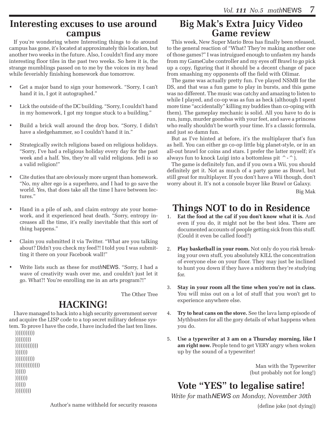#### **Interesting excuses to use around campus**

If you're wondering where Interesting things to do around campus has gone, it's located at approximately this location, but another two weeks in the future. Also, I couldn't find any more interesting floor tiles in the past two weeks. So here it is, the strange mumblings passed on to me by the voices in my head while feverishly finishing homework due tomorrow.

- Get a major band to sign your homework. "Sorry, I can't hand it in, I got it autographed."
- Lick the outside of the DC building. "Sorry, I couldn't hand in my homework, I got my tongue stuck to a building."
- Build a brick wall around the drop box. "Sorry, I didn't have a sledgehammer, so I couldn't hand it in."
- Strategically switch religions based on religious holidays. "Sorry, I've had a religious holiday every day for the past week and a half. Yes, they're all valid religions. Jedi is so a valid religion!"
- Cite duties that are obviously more urgent than homework. "No, my alter ego is a superhero, and I had to go save the world. Yes, that does take all the time I have between lectures."
- Hand in a pile of ash, and claim entropy ate your homework, and it experienced heat death. "Sorry, entropy increases all the time, it's really inevitable that this sort of thing happens."
- Claim you submitted it via Twitter. "What are you talking about? Didn't you check my feed?! I told you I was submitting it there on your Facebook wall!"
- Write lists such as these for *math* NEWS. "Sorry, I had a wave of creativity wash over me, and couldn't just let it go. What?! You're enrolling me in an arts program?!"

The Other Tree

### **HACKING!**

I have managed to hack into a high security government server and acquire the LISP code to a top secret military defense system. To prove I have the code, I have included the last ten lines.

 ))))))))))) ))))))))) ))))))))))))) ))))))) ))))))))))) )))))))))))))) )))))) ))))))) )))))) )))))))))

### **Big Mak's Extra Juicy Video Game review**

This week, New Super Mario Bros has finally been released, to the general reaction of "What? They're making another one of those games?" I was intruigued enough to unfasten my hands from my GameCube controller and my eyes off Brawl to go pick up a copy, figuring that it should be a decent change of pace from smashing my opponents off the field with Olimar.

The game was actually pretty fun. I've played NSMB for the DS, and that was a fun game to play in bursts, and this game was no different. The music was catchy and amazing to listen to while I played, and co-op was as fun as heck (although I spent more time "accidentally" killing my buddies than co-oping with them). The gameplay mechanic is solid. All you have to do is run, jump, murder goombas with your feet, and save a princess who really shouldn't be worth your time. It's a classic formula, and just so damn fun.

But as I've hinted at before, it's the multiplayer that's fun as hell. You can either go co-op little big planet-style, or in an all-out brawl for coins and stars. I prefer the latter myself; it's always fun to knock Luigi into a bottomless pit  $\hat{ }$  -  $\hat{ }$ ).

The game is definitely fun, and if you own a Wii, you should definitely get it. Not as much of a party game as Brawl, but still great for multiplayer. If you don't have a Wii though, don't worry about it. It's not a console buyer like Brawl or Galaxy.

Big Mak

# **Things NOT to do in Residence**

- 1. **Eat the food at the caf if you don't know what it is.** And even if you do, it might not be the best idea. There are documented accounts of people getting sick from this stuff. (Could it even be called food?)
- 2. **Play basketball in your room.** Not only do you risk breaking your own stuff, you absolutely KILL the concentration of everyone else on your floor. They may just be inclined to hunt you down if they have a midterm they're studying for.
- 3. **Stay in your room all the time when you're not in class.** You will miss out on a lot of stuff that you won't get to experience anywhere else.
- 4. **Try to heat cans on the stove.** See the lava lamp episode of Mythbusters for all the gory details of what happens when you do.
- 5. **Use a typewriter at 3 am on a Thursday morning, like I am right now.** People tend to get VERY angry when woken up by the sound of a typewriter!

Man with the Typewriter (but probably not for long!)

**Vote "YES" to legalise satire!**

*Write for* math*NEWS on Monday, November 30th*

(define joke (not dying))

Author's name withheld for security reasons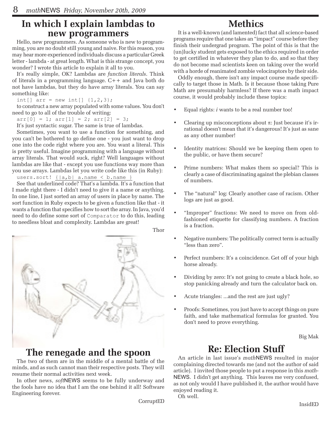### **In which I explain lambdas to new programmers**

Hello, new programmers. As someone who is new to programming, you are no doubt still young and naive. For this reason, you may hear more experienced individuals discuss a particular Greek letter - lambda - at great length. What is this strange concept, you wonder? I wrote this article to explain it all to you.

It's really simple, OK? Lambdas are *function literals*. Think of literals in a programming language. C++ and Java both do not have lambdas, but they do have array literals. You can say something like:

int[]  $arr = new int[]$   $\{1, 2, 3\}$ ;

to construct a new array populated with some values. You don't need to go to all of the trouble of writing:

 $arr[0] = 1; arr[1] = 2; arr[2] = 3;$ 

It's just syntactic sugar. The same is true of lambdas.

Sometimes, you want to use a function for something, and you can't be bothered to go define one - you just want to drop one into the code right where you are. You want a literal. This is pretty useful. Imagine programming with a language without array literals. That would suck, right? Well languages without lambdas are like that - except you use functions way more than you use arrays. Lambdas let you write code like this (in Ruby):

users.sort!  $\{|a,b|$  a.name < b.name }

See that underlined code? That's a lambda. It's a function that I made right there - I didn't need to give it a name or anything. In one line, I just sorted an array of users in place by name. The sort function in Ruby expects to be given a function like that - it wants a function that specifies how to sort the array. In Java, you'd need to do define some sort of Comparator to do this, leading to needless bloat and complexity. Lambdas are great!



### **The renegade and the spoon**

The two of them are in the middle of a mental battle of the minds, and as such cannot man their respective posts. They will resume their normal activities next week.

In other news, *soft*NEWS seems to be fully underway and the fools have no idea that I am the one behind it all! Software Engineering forever.

CorruptED

# **Methics**

It is a well-known (and lamented) fact that all science-based programs require that one takes an "impact" course before they finish their undergrad program. The point of this is that the (un)lucky student gets exposed to the ethics required in order to get certified in whatever they plan to do, and so that they do not become mad scientists keen on taking over the world with a horde of reanimated zombie velociraptors by their side.

Oddly enough, there isn't any impact course made specifically to target those in Math. Is it because those taking Pure Math are presumably harmless? If there was a math impact course, it would probably include these topics:

- Equal rights: *i* wants to be a real number too!
- Clearing up misconceptions about  $\pi$ : Just because it's irrational doesn't mean that it's dangerous! It's just as sane as any other number!
- Identity matrices: Should we be keeping them open to the public, or have them secure?
- Prime numbers: What makes them so special? This is clearly a case of discriminating against the plebian classes of numbers.
- The "natural" log: Clearly another case of racism. Other logs are just as good.
- "Improper" fractions: We need to move on from oldfashioned etiquette for classifying numbers. A fraction is a fraction.
- Negative numbers: The politically correct term is actually "less than zero".
- Perfect numbers: It's a coincidence. Get off of your high horse already.
- Dividing by zero: It's not going to create a black hole, so stop panicking already and turn the calculator back on.
- Acute triangles: ...and the rest are just ugly?
- Proofs: Sometimes, you just have to accept things on pure faith, and take mathematical formulas for granted. You don't need to prove everything.

Big Mak

### **Re: Election Stuff**

An article in last issue's *math*NEWS resulted in major complaining directed towards me (and not the author of said article). I invited those people to put a response in this *math-*NEWS. I didn't get anything. This leaves me very confused, as not only would I have published it, the author would have enjoyed reading it.

Oh well.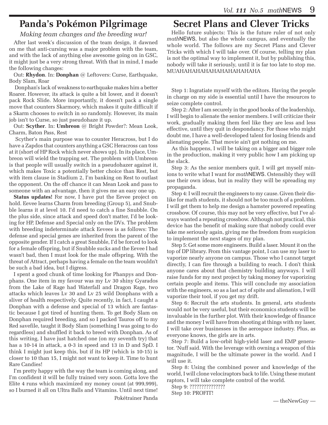### **Panda's Pokémon Pilgrimage**

*Making team changes and the breeding war!*

After last week's discussion of the team design, it dawned on me that anti-cursing was a major problem with the team, and with the lack of anything else awesome going on in GSC, it might just be a very strong threat. With that in mind, I made the following changes:

Out: **Rhydon**. In: **Donphan** @ Leftovers: Curse, Earthquake, Body Slam, Roar

 Donphan's lack of weakness to earthquake makes him a better Roarer. However, its attack is quite a bit lower, and it doesn't pack Rock Slide. More importantly, it doesn't pack a single move that counters Skarmory, which makes it quite difficult if a Skarm chooses to switch in so randomly. However, its main job isn't to Curse, so just pseudohaze it up.

Out: **Scyther**. In: **Umbreon** @ Bright Powder?: Mean Look, Charm, Baton Pass, Rest

 Scyther's main purpose was to counter Heracross, but I do have a Zapdos that counters anything a GSC Heracross can toss at it (short of HP Rock which never shows up). In its place, Umbreon will wield the trapping set. The problem with Umbreon is that people will usually switch in a pseudohazer against it, which makes Toxic a potentially better choice than Rest, but with item clause in Stadium 2, I'm banking on Rest to outlast the opponent. On the off chance it can Mean Look and pass to someone with an advantage, then it gives me an easy one up.

**Status updates!** For now, I have put the Eevee project on hold. Eevee learns Charm from breeding (Group 5), and Snubble learns it at level 10. I'd need to catch a fine Snubble. On the plus side, since attack and speed don't matter, I'd be looking for HP, Defense and Special only on the DVs. The problem with breeding indeterminate attack Eevees is as follows: The defense and special genes are inherited from the parent of the opposite gender. If I catch a great Snubble, I'd be forced to look for a female offspring, but if Snubble sucks and the Eevee I had wasn't bad, then I must look for the male offspring. With the threat of Attract, perhaps having a female on the team wouldn't be such a bad idea, but I digress.

I spent a good chunk of time looking for Phanpys and Donphans. One item in my favour was my Lv 30 shiny Gyarados from the Lake of Rage had Waterfall and Dragon Rage, two attacks which leaves Lv 30 and Lv 25 wild Donphans with a sliver of health respectively. Quite recently, in fact, I caught a Donphan with a defense and special of 13 which are fantastic because I got tired of hunting them. To get Body Slam on Donphan required breeding, and so I packed Tauros off to my Red savefile, taught it Body Slam (something I was going to do regardless) and shuffled it back to breed with Donphan. As of this writing, I have just hatched one (on my seventh try) that has a 10-14 in attack, a 0-3 in speed and 13 in D and SpD. I think I might just keep this, but if its HP (which is 10-15) is closer to 10 than 15, I might not want to keep it. Time to hunt Rare Candies!

I'm pretty happy with the way the team is coming along, and I'm confident it will be fully trained very soon. Gotta love the Elite 4 runs which maximized my money count (at 999,999), so I burned it all on Ultra Balls and Vitamins. Until next time!

Pokétrainer Panda

# **Secret Plans and Clever Tricks**

Hello future subjects: This is the future ruler of not only *math*NEWS, but also the whole campus, and eventually the whole world. The follows are my Secret Plans and Clever Tricks with which I will take over. Of course, telling my plan is not the optimal way to implement it, but by publishing this, nobody will take it seriously, until it is far too late to stop me. MUAHAHAHAHAHAHAHAHAHAHA

Step 1: Ingratiate myself with the editors. Having the people in charge on my side is essential until I have the resources to seize complete control.

Step 2: After I am securely in the good books of the leadership, I will begin to alienate the senior members. I will criticize their work, gradually making them feel like they are less and less effective, until they quit in despondancy. For those who might doubt me, I have a well-developed talent for losing friends and alienating people. That movie ain't got nothing on me.

As this happens, I will be taking on a bigger and bigger role in the production, making it very public how I am picking up the slack.

Step 3: As the senior members quit, I will get myself minions to write what I want for *math*NEWS. Ostensibly they will use their own ideas, but in reality they will be spreading my propaganda.

Step 4: I will recruit the engineers to my cause. Given their dislike for math students, it should not be too much of a problem. I will get them to help me design a hamster powered repeating crossbow. Of course, this may not be very effective, but I've always wanted a repeating crossbow. Although not practical, this device has the benefit of making sure that nobody could ever take me seriously again, giving me the freedom from suspicion to implement the next stages of my plan.

Step 5: Get some more engineers. Build a laser. Mount it on the top of DP library. From this vantage point, I can use my laser to vaporize nearly anyone on campus. Those who I cannot target directly, I can fire through a building to reach. I don't think anyone cares about that chemistry building anyways. I will raise funds for my next project by taking money for vaporizing certain people and items. This will conclude my association with the engineers, so as a last act of spite and alienation, I will vaporize their tool, if you get my drift.

Step 6: Recruit the arts students. In general, arts students would not be very useful, but their economics students will be invaluable in the further plot. With their knowledge of finance and the money I will have from shooting at things with my laser, I will take over businesses in the aerospace industry. Plus, as everyone knows, the girls are in arts.

Step 7: Build a low-orbit high-yield laser and EMP generator. 'Nuff said. With the leverage with owning a weapon of this magnitude, I will be the ultimate power in the world. And I will use it.

Step 8: Using the combined power and knowledge of the world, I will clone velociraptors back to life. Using these mutant raptors, I will take complete control of the world.

Step 9: ???????????????

Step 10: PROFIT!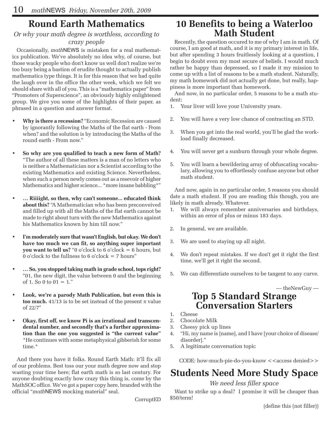### **Round Earth Mathematics**

#### *Or why your math degree is worthless, according to*

#### *crazy people*

Occasionally, *math*NEWS is mistaken for a real mathematics publication. We've absolutely no idea why, of course, but those wacky people who don't know us well don't realize we're too busy being a bastion of erudite thought to actually publish mathematics type things. It is for this reason that we had quite the laugh over in the office the other week, which we felt we should share with all of you. This is a "mathematics paper" from "Promoters of Superscience", an obviously highly enlightened group. We give you some of the highlights of their paper, as phrased in a question and answer format.

- Why is there a recession? "Economic Recession are caused by ignorantly following the Maths of the flat earth - From when? and the solution is by introducing the Maths of the round earth - From now."
- So why are you qualified to teach a new form of Math? "The author of all these matters is a man of no letters who is neither a Mathematician nor a Scientist according to the existing Mathematics and existing Science. Nevertheless, when such a person newly comes out as a resevoir of higher Mathematics and higher science... \*more insane babbling\*"
- ... Riiiight, so then, why can't someone... educated think **about this?** "A Mathematician who has been preconveived and filled up with all the Maths of the flat earth cannot be made to right about turn with the new Mathematics against his Mathematics known by him till now."
- I'm moderately sure that wasn't English, but okay. We don't **have too much we can fit, so anything super important you want to tell us?** "0 o'clock to 6 o'clock = 6 hours, but 0 o'clock to the fullness to 6 o'clock  $= 7$  hours"
- ... So, you stopped taking math in grade school, tops right? "01, the new digit, the value between 0 and the beginning of 1. So 0 to  $01 = 1$ ."
- Look, we're a parody Math Publication, but even this is **too much.** 41/13 is to be set instead of the present  $\pi$  value of 22/7"
- Okay, first off, we know Pi is an irrational and transcen**dental number, and secondly that's a further approximation than the one you suggested is "the current value"**  \*He continues with some metaphysical gibberish for some time.\*

And there you have it folks. Round Earth Math: it'll fix all of our problems. Best toss our your math degree now and stop wasting your time here; flat earth math is so last century. For anyone doubting exactly how crazy this thing is, come by the MathSOC office. We've got a paper copy here, branded with the official "*math*NEWS mocking material" seal.

CorruptED

# **10 Benefits to being a Waterloo Math Student**

Recently, the question occured to me of why I am in math. Of course, I am good at math, and it is my primary interest in life, but after spending 3 hours fruitlessly looking at a question, I begin to doubt even my most secure of beliefs. I would much rather be happy than depressed, so I made it my mission to come up with a list of reasons to be a math student. Naturally, my math homework did not actually get done, but really, happiness is more important than homework.

And now, in no particular order, 5 reasons to be a math student:

- 1. Your liver will love your University years.
- 2. You will have a very low chance of contracting an STD.
- 3. When you get into the real world, you'll be glad the workload finally decreased.
- 4. You will never get a sunburn through your whole degree.
- 5. You will learn a bewildering array of obfuscating vocabulary, allowing you to effortlessly confuse anyone but other math student.

And now, again in no particular order, 5 reasons you should date a math student. If you are reading this though, you are likely in math already. Whatever.

- 1. We will always remember anniversaries and birthdays, within an error of plus or minus 183 days.
- 2. In general, we are available.
- 3. We are used to staying up all night.
- 4. We don't repeat mistakes. If we don't get it right the first time, we'll get it right the second.
- 5. We can differentiate ourselves to be tangent to any curve.

— theNewGuy —

### **Top 5 Standard Strange Conversation Starters**

- 1. Cheese
- 2. Chocolate Milk
- 3. Cheesy pick up lines
- 4. "Hi, my name is [name], and I have [your choice of disease/ disorder]."
- 5. A legitimate conversation topic

CODE: how-much-pie-do-you-know <<access denied>>

# **Students Need More Study Space**

*We need less filler space*

Want to strike up a deal? I promise it will be cheaper than \$50/term!

(define this (not filler))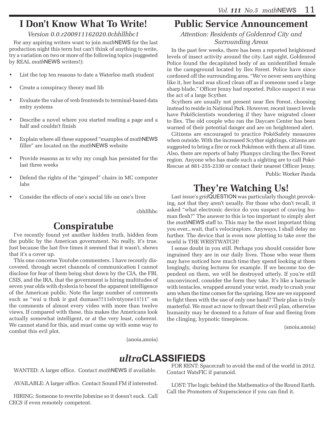# **I Don't Know What To Write!**

#### *Version 0.0.r200911162020.0cbhllhbc1*

For any aspiring writers want to join *math*NEWS for the last production night this term but can't think of anything to write, try a variation on two or more of the following topics (suggested by REAL *math*NEWS writers!):

- List the top ten reasons to date a Waterloo math student
- Create a conspiracy theory mad lib
- Evaluate the value of web frontends to terminal-based data entry systems
- Describe a novel where you started reading a page and a half and couldn't finish
- Explain where all these supposed "examples of *math*NEWS filler" are located on the *math*NEWS website
- Provide reasons as to why my cough has persisted for the last three weeks
- Defend the rights of the "gimped" chairs in MC computer labs
- Consider the effects of one's social life on one's liver

cbhllhbc

### **Conspiratube**

I've recently found yet another hidden truth, hidden from the public by the American government. No really, it's true. Just because the last five times it seemed that it wasn't, shows that it's a cover up.

This one concerns Youtube commenters. I have recently discovered, through secret channels of communication I cannot disclose for fear of them being shut down by the CIA, the FBI, CSIS, and the IRA, that the government is hiring multitudes of seven year olds with dyslexia to boost the apparent intelligence of the American public. Note the large number of comments such as "wai u thnk ir gud dumass!!!11elvntyone11!11" on the comments of almost every video with more than twelve views. If compared with these, this makes the Americans look actually somewhat intelligent, or at the very least, coherent. We cannot stand for this, and must come up with some way to combat this evil plot.

### **Public Service Announcement**

*Attention: Residents of Goldenrod City and Surrounding Areas*

In the past few weeks, there has been a reported heightened levels of insect activity around the city. Last night, Goldenrod Police found the decapitated body of an unidentified female in the campground located by Ilex Forest. Police have since cordoned off the surrounding area. "We've never seen anything like it, her head was sliced clean off as if someone used a large sharp blade," Officer Jenny had reported. Police suspect it was the act of a large Scyther.

Scythers are usually not present near Ilex Forest, choosing instead to reside in National Park. However, recent insect levels have PokéScientists wondering if they have migrated closer to Ilex. The old couple who ran the Daycare Center has been warned of their potential danger and are on heightened alert.

Citizens are encouraged to practice PokéSafety measures when outside. With the increased Scyther sightings, citizens are suggested to bring a fire or rock Pokémon with them at all time. Also, there are reports of baby Phanpys circling the Ilex Forest region. Anyone who has made such a sighting are to call Poké-Rescue at 881-255-2330 or contact their nearest Officer Jenny.

Public Worker Panda

### **They're Watching Us!**

Last issue's *grid*QUESTION was particularly thought provoking, not that they aren't usually. For those who don't recall, it asked "what electronic device do you suspect of craving human flesh?" The answer to this is too important to simply alert the *math*NEWS staff to. This may be the most important thing you ever...wait, that's velociraptors. Anyways, I shall delay no further. The device that is even now plotting to take over the world is THE WRISTWATCH!

I sense doubt in you still. Perhaps you should consider how ingrained they are in our daily lives. Those who wear them may have noticed how much time they spend looking at them longingly, during lectures for example. If we become too dependent on them, we will be destroyed utterly. If you're still unconvinced, consider the form they take. It's like a barnacle with tentacles, wrapped around your wrist, ready to crush your arm when the time comes for the uprising. How are we supposed to fight them with the use of only one hand? Their plan is truly masterful. We must act now to thwart their evil plan, otherwise humanity may be doomed to a future of fear and fleeing from the clinging, hypnotic timepieces.

(anoia,anoia)

(anoia,anoia)

# *ultra***CLASSIFIEDS**

WANTED: A larger office. Contact *math*NEWS if available.

AVAILABLE: A larger office. Contact Sound FM if interested.

HIRING: Someone to rewrite Jobmine so it doesn't suck. Call CECS if even remotely competent.

FOR RENT: Spacecraft to avoid the end of the world in 2012. Contact WatsFIC if paranoid.

LOST: The logic behind the Mathematics of the Round Earth. Call the Promoters of Superscience if you can find it.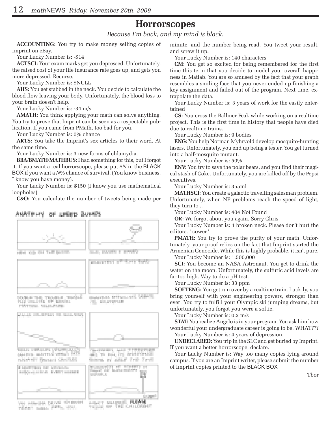#### **Horrorscopes**

*Because I'm back, and my mind is black.*

**ACCOUNTING:** You try to make money selling copies of Imprint on eBay.

Your Lucky Number is: -\$14

**ACTSCI:** Your exam marks get you depressed. Unfortunately, the raised cost of your life insurance rate goes up, and gets you more depressed. Recurse.

Your Lucky Number is: \$NULL

**AHS:** You get stabbed in the neck. You decide to calculate the blood flow leaving your body. Unfortunately, the blood loss to your brain doesn't help.

Your Lucky Number is: -34 m/s

**AMATH:** You think applying your math can solve anything. You try to prove that Imprint can be seen as a respectable publication. If you came from PMath, too bad for you.

Your Lucky Number is: 0% chance

**ARTS:** You take the Imprint's sex articles to their word. At the same time.

Your Lucky Number is: 3 new forms of chlamydia.

**BBA/BMATH/MATHBUS:** I had something for this, but I forgot it. If you want a real horrorscope, please put \$*N* in the BLACK BOX if you want a *N*% chance of survival. (You know business, I know you have money).

Your Lucky Number is: \$150 (I know you use mathematical loopholes)

**C&O:** You calculate the number of tweets being made per

#### OF SPEED BUINES ANATOHY



minute, and the number being read. You tweet your result, and screw it up.

Your Lucky Number is: 140 characters

**CM:** You get so excited for being remembered for the first time this term that you decide to model your overall happiness in Matlab. You are so amused by the fact that your graph resembles a smiling face that you never ended up finishing a key assignment and failed out of the program. Next time, extrapolate the data.

Your Lucky Number is: 3 years of work for the easily entertained

**CS:** You cross the Ballmer Peak while working on a realtime project. This is the first time in history that people have died due to realtime trains.

Your Lucky Number is: 9 bodies

**ENG:** You help Norman Myhrvold develop mosquito-hunting lasers. Unfortunately, you end up being a tester. You get turned into a half-mosquito mutant.

Your Lucky Number is: 50%

**ENV:** You try to save the polar bears, and you find their magical stash of Coke. Unfortunately, you are killed off by the Pepsi executives.

Your Lucky Number is: 355ml

**MATHSCI:** You create a galactic travelling salesman problem. Unfortunately, when NP problems reach the speed of light, they turn to...

Your Lucky Number is: 404 Not Found

**OR:** We forgot about you again. Sorry Chris.

Your Lucky Number is: 1 broken neck. Please don't hurt the editors. \*cower\*

**PMATH:** You try to prove the purity of your math. Unfortunately, your proof relies on the fact that Imprint started the Armenian Genocide. While this is highly probable, it isn't pure.

Your Lucky Number is: 1,500,000

**SCI:** You become an NASA Astronaut. You get to drink the water on the moon. Unfortunately, the sulfuric acid levels are far too high. Way to do a pH test.

Your Lucky Number is: 33 ppm

**SOFTENG:** You get run over by a realtime train. Luckily, you bring yourself with your engineering powers, stronger than ever! You try to fulfill your Olympic ski jumping dreams, but unfortunately, you forgot you were a softie.

Your Lucky Number is: 0.2 m/s

**STAT:** You realize Angelo is in your program. You ask him how wonderful your undergraduate career is going to be. WHAT??? Your Lucky Number is: 4 years of depression.

**UNDECLARED:** You trip in the SLC and get buried by Imprint. If you want a better horrorscope, declare.

Your Lucky Number is: Way too many copies lying around campus. If you are an Imprint writer, please submit the number of Imprint copies printed to the BLACK BOX

Tbor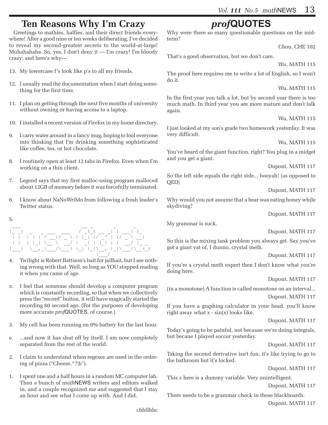### **Ten Reasons Why I'm Crazy**

Greetings to mathies, halfies, and their direct friends everywhere! After a good nine or ten weeks deliberating, I've decided to reveal my second-greatest secrets to the world-at-large! Muhahahaha. So, yes, I don't deny it — I'm crazy! I'm bloody crazy; and here's why—

- 13. My lowercase f's look like p's to all my friends.
- 12. I usually read the documentation when I start doing something for the first time.
- 11. I plan on getting through the next five months of university without owning or having access to a laptop.
- 10. I installed a recent version of Firefox in my home directory.
- 9. I carry water around in a fancy mug, hoping to fool everyone into thinking that I'm drinking something sophisticated like coffee, tea, or hot chocolate.
- 8. I routinely open at least 12 tabs in Firefox. Even when I'm working on a thin client.
- 7. Legend says that my first malloc-using program malloced about 12GB of memory before it was forcefully terminated.
- 6. I know about NaNoWriMo from following a frosh leader's Twitter status.

#### 5.



- 4. Twilight is Robert Battison's bait for jailbait, but I see nothing wrong with that. Well, so long as YOU stopped reading it when you came of age.
- $\pi$ . I feel that someone should develop a computer program which is constantly recording, so that when we collectively press the "record" button, it will have magically started the recording 60 second ago. (For the purposes of developing more accurate *prof*QUOTES, of course.)
- 3. My cell has been running on 0% battery for the last hour.
- e. ...and now it has shut off by itself. I am now completely separated from the rest of the world.
- 2. I claim to understand when regexes are used in the ordering of pizza ("Cheese.\*?\b").
- 1. I spent one and a half hours in a random MC computer lab. Then a bunch of *math*NEWS writers and editors walked in, and a couple recognized me and suggested that I stay an hour and see what I come up with. And I did.

# *prof***QUOTES**

Why were there so many questionable questions on the midterm?

Chou, CHE 102

That's a good observation, but we don't care.

Wu, MATH 115

The proof here requires me to write a lot of English, so I won't do it.

Wu, MATH 115

In the first year you talk a lot, but by second year there is too much math. In third year you are more mature and don't talk again.

Wu, MATH 115

I just looked at my son's grade two homework yesterday. It was very difficult.

Wu, MATH 115

You've heard of the giant function, right? You plug in a midget and you get a giant.

Dupont, MATH 117

So the left side equals the right side... booyah! (as opposed to QED)

Dupont, MATH 117

Why would you not assume that a bear was eating honey while skydiving?

Dupont, MATH 117

My grammar is suck.

Dupont, MATH 117

So this is the mixing tank problem you always get. Say you've got a giant vat of, I dunno, crystal meth.

Dupont, MATH 117

If you're a crystal meth expert then I don't know what you're doing here.

Dupont, MATH 117

(in a monotone) A function is called monotone on an interval... Dupont, MATH 117

If you have a graphing calculator in your head, you'll know right away what *x* - sin(*x*) looks like.

Dupont, MATH 117

Today's going to be painful, not because we're doing integrals, but becaue I played soccer yesterday.

Dupont, MATH 117

Taking the second derivative isn't fun, it's like trying to go to the bathroom but it's locked.

Dupont, MATH 117

This *x* here is a dummy variable. Very unintelligent.

Dupont, MATH 117

There needs to be a grammar check in these blackboards. Dupont, MATH 117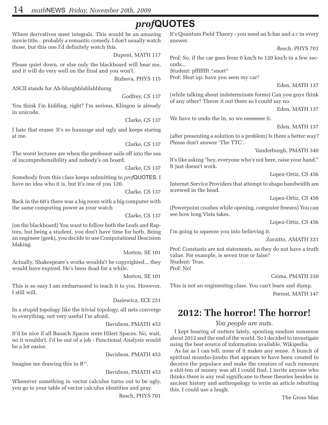# *prof***QUOTES**

Where derivatives meet integrals. This would be an amazing movie title... probably a romantic comedy. I don't usually watch those, but this one I'd definitely watch this.

Dupont, MATH 117

Please quiet down, or else only the blackboard will hear me, and it will do very well on the final and you won't.

Bizheva, PHYS 115

ASCII stands for Ah-blurghblablahblurag

Godfrey, CS 137

You think I'm kidding, right? I'm serious, Klingon is already in unicode.

Clarke, CS 137

I hate that eraser. It's so huuuuge and ugly and keeps staring at me.

Clarke, CS 137

The worst lectures are when the professor sails off into the sea of incomprehensibility and nobody's on board.

Clarke, CS 137

Somebody from this class keeps submitting to *prof*QUOTES. I have no idea who it is, but it's one of you 120.

Clarke, CS 137

Back in the 60's there was a big room with a big computer with the same computing power as your watch

Clarke, CS 137

(on the blackboard) You want to follow both the Leafs and Raptors, but being a student, you don't have time for both. Being an engineer (geek), you decide to use Computational Descision Making.

Morton, SE 101

Actually, Shakespeare's works wouldn't be copyrighted... they would have expired. He's been dead for a while.

Morton, SE 101

This is so easy I am embarrassed to teach it to you. However, I still will.

Dasiewicz, ECE 251

In a stupid topology like the trivial topology, all nets converge to everything, not very useful I'm afraid.

Davidson, PMATH 453

It'd be nice if all Banach Spaces were Hilert Spaces. No, wait, no it wouldn't, I'd be out of a job - Functional Analysis would be a lot easier.

Davidson, PMATH 453

Imagine me drawing this in  $R^{17}$ .

Davidson, PMATH 453

Whenever something in vector calculus turns out to be ugly, you go to your table of vector calculus identities and pray.

Resch, PHYS 701

It's Quantum Field Theory - you need an h-bar and a *c* in every answer.

Resch, PHYS 701

Prof: So, if the car goes from 0 km/h to 120 km/h in a few seconds...

Student: pffffffft \*snort\*

Prof: Shut up, have you seen my car?

Eden, MATH 137

(while talking about indeterminate forms) Can you guys think of any other? Throw it out there so I could say no.

Eden, MATH 137

We have to undo the  $ln$ , so we eeeeeeee it.

Eden, MATH 137

(after presenting a solution to a problem) Is there a better way? Please don't answer 'The TTC'.

Vanderburgh, PMATH 340

It's like asking "hey, everyone who's not here, raise your hand." It just doesn't work.

Lopez-Ortiz, CS 456

Internet Service Providers that attempt to shape bandwidth are screwed in the head.

Lopez-Ortiz, CS 456

(Powerpoint crashes while opening, computer freezes) You can see how long Vista takes.

Lopez-Ortiz, CS 456

I'm going to squeeze you into believing it.

Zorzitto, AMATH 331

Prof: Constants are not statements, so they do not have a truth value. For example, is seven true or false? Student: True. Prof: No!

Csima, PMATH 330

This is not an engineering class. You can't learn and dump. Forrest, MATH 147

### **2012: The horror! The horror!**

#### *You people are nuts.*

I kept hearing of nutters lately, spouting random nonsense about 2012 and the end of the world. So I decided to investigate using the best source of information available, Wikipedia.

As far as I can tell, none of it makes any sense. A bunch of spiritual mumbo-jumbo that appears to have been created to deceive the populace and make the creators of such rumours a shit-ton of money was all I could find. I invite anyone who thinks there is any real significane to these theories besides in ancient history and anthropology to write an article rebutting this. I could use a laugh.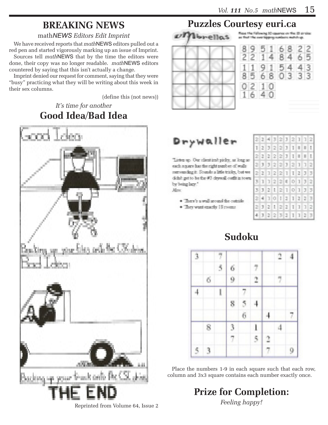# **BREAKING NEWS**

#### math*NEWS Editors Edit Imprint*

We have received reports that *math*NEWS editors pulled out a red pen and started vigorously marking up an issue of Imprint. Sources tell *math*NEWS that by the time the editors were done, their copy was no longer readable. *math*NEWS editors countered by saying that this isn't actually a change.

Imprint denied our request for comment, saying that they were "busy" practicing what they will be writing about this week in their sex columns.

(define this (not news))

#### *It's time for another* **Good Idea/Bad Idea**



# **Puzzles Courtesy euri.ca**



# Drywaller

Listen up. Our client isn't picky, at long aseach reports has the right number of studio. surrounding it. Sounds a little trinky, but we didn't get to be the FI days all outfit in town. by being late." **Allow** 

- · There's a wall around the outside.
- + They want exactly 18 years.

| Ø. | 2  | 4  | 3  | 2 | з  | 2      | ı | ı  | 2 |
|----|----|----|----|---|----|--------|---|----|---|
|    | 2  | 3  | 2  | 2 | J  | D      |   | L  | L |
| 2  | 2  | 2  | 2  | 2 | з  | Ï      | J | L  | L |
| Ø. | J  | Э  | 2  | 2 | J  | $\geq$ | I | j  | 2 |
| 2  | 2  | ı  | 2  | 2 | ī  | I      | 2 | э  | 3 |
| ž. | ı  | ı  | 2. | 2 | ij | Q.     | 1 | э  | 2 |
| Þ, | 3  | 2  | L  | 2 | I  | ņ.     | I | Ĵ. | 3 |
| Ø, | 4  | J. | o  | I | g. | T      | 2 | 2  | 3 |
| Ø. | J. | 2  |    | 2 | 2  | J      | 1 | I  | 2 |
| 4  | J  | 2  | 2  | 罵 | J  | J      | 1 | 2  | 3 |

A 3

O.

# **Sudoku**



Place the numbers 1-9 in each square such that each row, column and 3x3 square contains each number exactly once.

> **Prize for Completion:** *Feeling happy!*